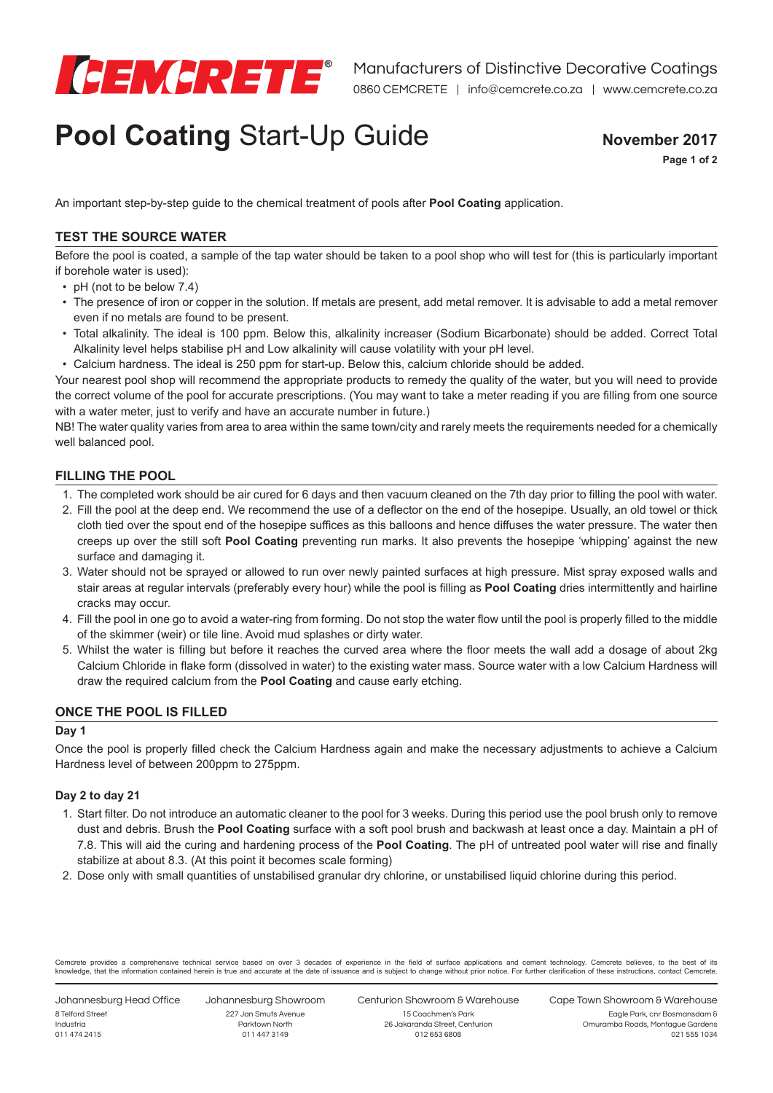

# **Pool Coating Start-Up Guide Movember 2017**

**Page 1 of 2**

An important step-by-step guide to the chemical treatment of pools after **Pool Coating** application.

## **TEST THE SOURCE WATER**

Before the pool is coated, a sample of the tap water should be taken to a pool shop who will test for (this is particularly important if borehole water is used):

- pH (not to be below  $7.4$ )
- The presence of iron or copper in the solution. If metals are present, add metal remover. It is advisable to add a metal remover even if no metals are found to be present.
- • Total alkalinity. The ideal is 100 ppm. Below this, alkalinity increaser (Sodium Bicarbonate) should be added. Correct Total Alkalinity level helps stabilise pH and Low alkalinity will cause volatility with your pH level.
- Calcium hardness. The ideal is 250 ppm for start-up. Below this, calcium chloride should be added.

Your nearest pool shop will recommend the appropriate products to remedy the quality of the water, but you will need to provide the correct volume of the pool for accurate prescriptions. (You may want to take a meter reading if you are filling from one source with a water meter, just to verify and have an accurate number in future.)

NB! The water quality varies from area to area within the same town/city and rarely meets the requirements needed for a chemically well balanced pool.

### **FILLING THE POOL**

- 1. The completed work should be air cured for 6 days and then vacuum cleaned on the 7th day prior to filling the pool with water.
- 2. Fill the pool at the deep end. We recommend the use of a deflector on the end of the hosepipe. Usually, an old towel or thick cloth tied over the spout end of the hosepipe suffices as this balloons and hence diffuses the water pressure. The water then creeps up over the still soft **Pool Coating** preventing run marks. It also prevents the hosepipe 'whipping' against the new surface and damaging it.
- 3. Water should not be sprayed or allowed to run over newly painted surfaces at high pressure. Mist spray exposed walls and stair areas at regular intervals (preferably every hour) while the pool is filling as **Pool Coating** dries intermittently and hairline cracks may occur.
- 4. Fill the pool in one go to avoid a water-ring from forming. Do not stop the water flow until the pool is properly filled to the middle of the skimmer (weir) or tile line. Avoid mud splashes or dirty water.
- 5. Whilst the water is filling but before it reaches the curved area where the floor meets the wall add a dosage of about 2kg Calcium Chloride in flake form (dissolved in water) to the existing water mass. Source water with a low Calcium Hardness will draw the required calcium from the **Pool Coating** and cause early etching.

## **ONCE THE POOL IS FILLED**

#### **Day 1**

Once the pool is properly filled check the Calcium Hardness again and make the necessary adjustments to achieve a Calcium Hardness level of between 200ppm to 275ppm.

#### **Day 2 to day 21**

- 1. Start filter. Do not introduce an automatic cleaner to the pool for 3 weeks. During this period use the pool brush only to remove dust and debris. Brush the **Pool Coating** surface with a soft pool brush and backwash at least once a day. Maintain a pH of 7.8. This will aid the curing and hardening process of the **Pool Coating**. The pH of untreated pool water will rise and finally stabilize at about 8.3. (At this point it becomes scale forming)
- 2. Dose only with small quantities of unstabilised granular dry chlorine, or unstabilised liquid chlorine during this period.

Cemcrete provides a comprehensive technical service based on over 3 decades of experience in the field of surface applications and cement technology. Cemcrete believes, to the best of its knowledge, that the information contained herein is true and accurate at the date of issuance and is subject to change without prior notice. For further clarification of these instructions, contact Cemcrete.

Johannesburg Head Office 8 Telford Street Industria 011 474 2415

Johannesburg Showroom 227 Jan Smuts Avenue Parktown North 011 447 3149

Centurion Showroom & Warehouse 15 Coachmen's Park

Cape Town Showroom & Warehouse Eagle Park, cnr Bosmansdam &

26 Jakaranda Street, Centurion 012 653 6808

Omuramba Roads, Montague Gardens 021 555 1034